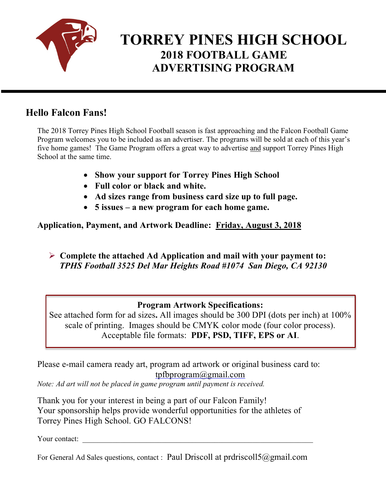

# **TORREY PINES HIGH SCHOOL 2018 FOOTBALL GAME ADVERTISING PROGRAM**

## **Hello Falcon Fans!**

The 2018 Torrey Pines High School Football season is fast approaching and the Falcon Football Game Program welcomes you to be included as an advertiser. The programs will be sold at each of this year's five home games! The Game Program offers a great way to advertise and support Torrey Pines High School at the same time.

- **Show your support for Torrey Pines High School**
- **Full color or black and white.**
- **Ad sizes range from business card size up to full page.**
- **5 issues – a new program for each home game.**

**Application, Payment, and Artwork Deadline: Friday, August 3, 2018**

Ø **Complete the attached Ad Application and mail with your payment to:** *TPHS Football 3525 Del Mar Heights Road #1074 San Diego, CA 92130*

#### **Program Artwork Specifications:**

See attached form for ad sizes**.** All images should be 300 DPI (dots per inch) at 100% scale of printing. Images should be CMYK color mode (four color process). Acceptable file formats: **PDF, PSD, TIFF, EPS or AI**.

Please e-mail camera ready art, program ad artwork or original business card to: tpfbprogram@gmail.com

*Note: Ad art will not be placed in game program until payment is received.*

Thank you for your interest in being a part of our Falcon Family! Your sponsorship helps provide wonderful opportunities for the athletes of Torrey Pines High School. GO FALCONS!

Your contact:

For General Ad Sales questions, contact : Paul Driscoll at prdriscoll5@gmail.com